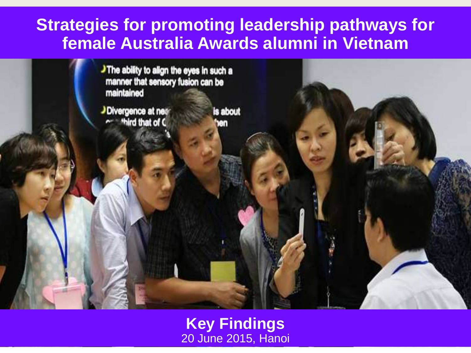### **Strategies for promoting leadership pathways for female Australia Awards alumni in Vietnam**

The ability to align the eyes in such a manner that sensory fusion can be maintained

J Divergence at near ~ third that of C

is about

**Key Findings** 20 June 2015, Hanoi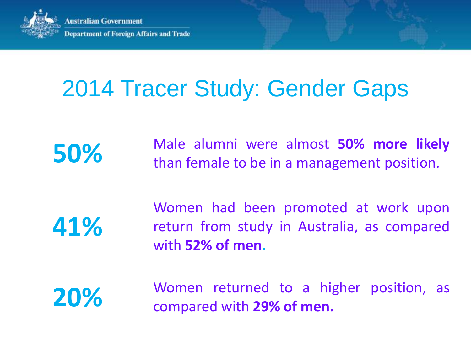

# 2014 Tracer Study: Gender Gaps

**50%** Male alumni were almost **50% more likely** than female to be in a management position.

**41%**

Women had been promoted at work upon return from study in Australia, as compared with **52% of men.**

**20%** Women returned to a higher position, as compared with **29% of men.**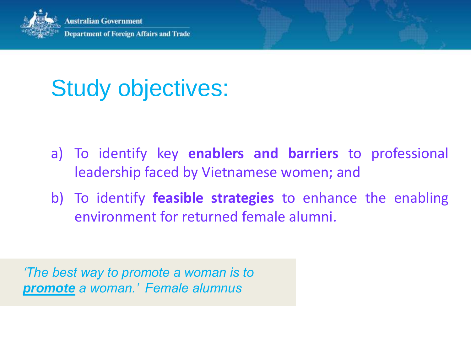

# Study objectives:

- a) To identify key **enablers and barriers** to professional leadership faced by Vietnamese women; and
- b) To identify **feasible strategies** to enhance the enabling environment for returned female alumni.

*'The best way to promote a woman is to promote a woman.' Female alumnus*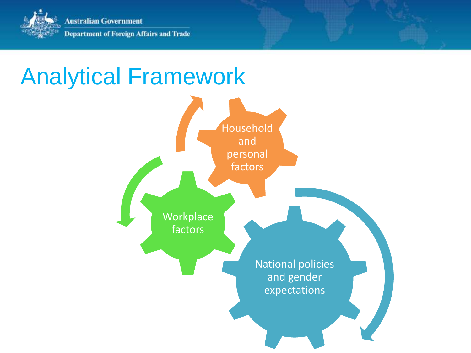

# Analytical Framework

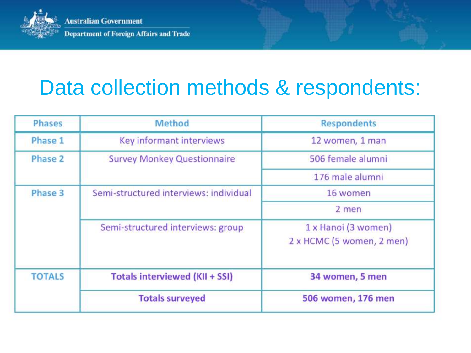

# Data collection methods & respondents:

| <b>Phases</b> | <b>Method</b>                          | <b>Respondents</b>                               |
|---------------|----------------------------------------|--------------------------------------------------|
| Phase 1       | Key informant interviews               | 12 women, 1 man                                  |
| Phase 2       | <b>Survey Monkey Questionnaire</b>     | 506 female alumni                                |
|               |                                        | 176 male alumni                                  |
| Phase 3       | Semi-structured interviews: individual | 16 women                                         |
|               |                                        | 2 men                                            |
|               | Semi-structured interviews: group      | 1 x Hanoi (3 women)<br>2 x HCMC (5 women, 2 men) |
| <b>TOTALS</b> | <b>Totals interviewed (KII + SSI)</b>  | 34 women, 5 men                                  |
|               | <b>Totals surveyed</b>                 | 506 women, 176 men                               |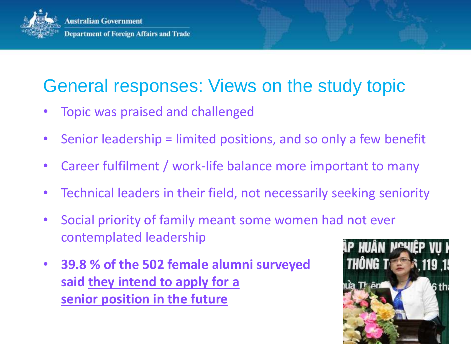

### General responses: Views on the study topic

- Topic was praised and challenged
- Senior leadership = limited positions, and so only a few benefit
- Career fulfilment / work-life balance more important to many
- Technical leaders in their field, not necessarily seeking seniority
- Social priority of family meant some women had not ever contemplated leadership
- **39.8 % of the 502 female alumni surveyed said they intend to apply for a senior position in the future**

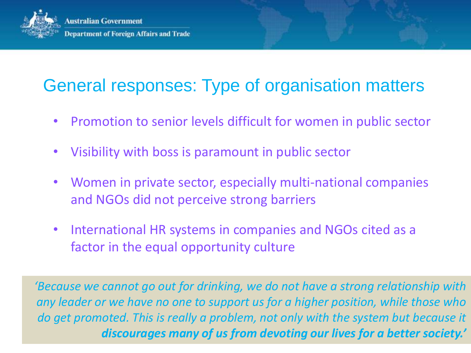

## General responses: Type of organisation matters

- Promotion to senior levels difficult for women in public sector
- Visibility with boss is paramount in public sector
- Women in private sector, especially multi-national companies and NGOs did not perceive strong barriers
- International HR systems in companies and NGOs cited as a factor in the equal opportunity culture

*'Because we cannot go out for drinking, we do not have a strong relationship with any leader or we have no one to support us for a higher position, while those who do get promoted. This is really a problem, not only with the system but because it discourages many of us from devoting our lives for a better society.'*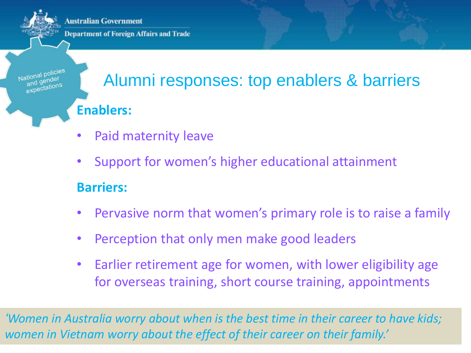**Australian Government** 

**Department of Foreign Affairs and Trade** 

## Alumni responses: top enablers & barriers **Enablers:**

- Paid maternity leave
- Support for women's higher educational attainment

#### **Barriers:**

- Pervasive norm that women's primary role is to raise a family
- Perception that only men make good leaders
- Earlier retirement age for women, with lower eligibility age for overseas training, short course training, appointments

*'Women in Australia worry about when is the best time in their career to have kids; women in Vietnam worry about the effect of their career on their family.'*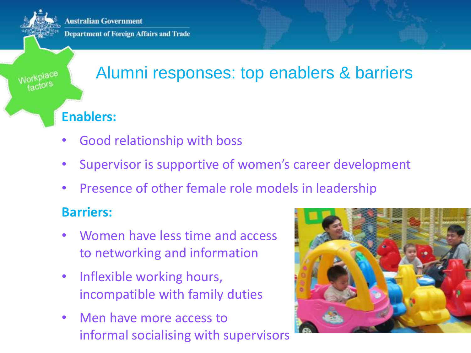**Australian Government** 

**Department of Foreign Affairs and Trade** 

### Alumni responses: top enablers & barriers

#### **Enablers:**

- Good relationship with boss
- Supervisor is supportive of women's career development
- Presence of other female role models in leadership

#### **Barriers:**

- Women have less time and access to networking and information
- Inflexible working hours, incompatible with family duties
- Men have more access to informal socialising with supervisors

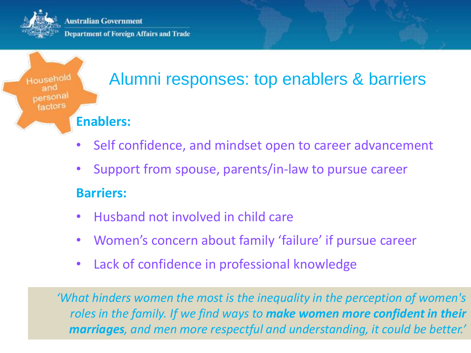**Australian Government Department of Foreign Affairs and Trade** 

Household factors

## Alumni responses: top enablers & barriers

#### **Enablers:**

- Self confidence, and mindset open to career advancement
- Support from spouse, parents/in-law to pursue career

#### **Barriers:**

- Husband not involved in child care
- Women's concern about family 'failure' if pursue career
- Lack of confidence in professional knowledge

*'What hinders women the most is the inequality in the perception of women's roles in the family. If we find ways to make women more confident in their marriages, and men more respectful and understanding, it could be better.'*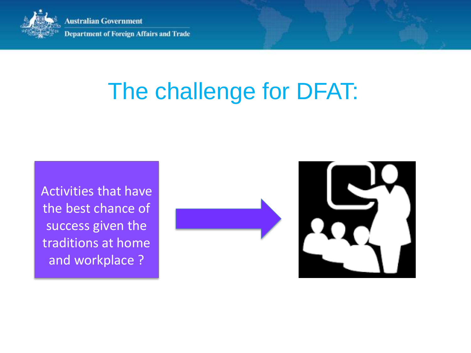

**Australian Government Department of Foreign Affairs and Trade** 

# The challenge for DFAT:

Activities that have the best chance of success given the traditions at home and workplace ?

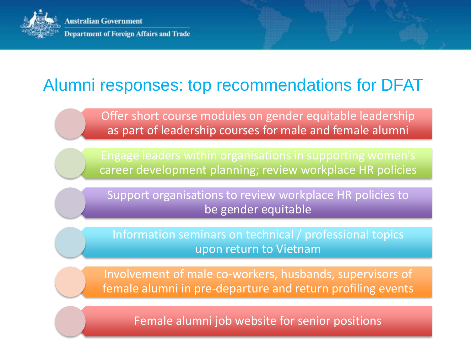

### Alumni responses: top recommendations for DFAT

Offer short course modules on gender equitable leadership as part of leadership courses for male and female alumni

Engage leaders within organisations in supporting women's career development planning; review workplace HR policies

Support organisations to review workplace HR policies to be gender equitable

Information seminars on technical / professional topics upon return to Vietnam

Involvement of male co-workers, husbands, supervisors of female alumni in pre-departure and return profiling events

Female alumni job website for senior positions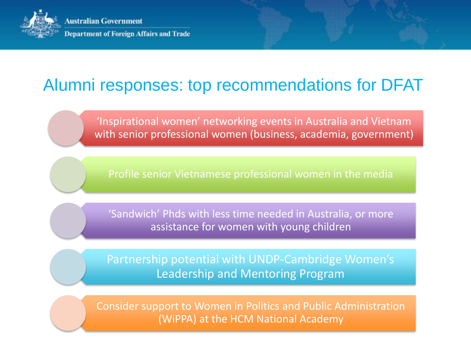

### Alumni responses: top recommendations for DFAT

'Inspirational women' networking events in Australia and Vietnam with senior professional women (business, academia, government)

'Sandwich' Phds with less time needed in Australia, or more assistance for women with young children

Partnership potential with UNDP-Cambridge Women's Leadership and Mentoring Program

Consider support to Women in Politics and Public Administration (WiPPA) at the HCM National Academy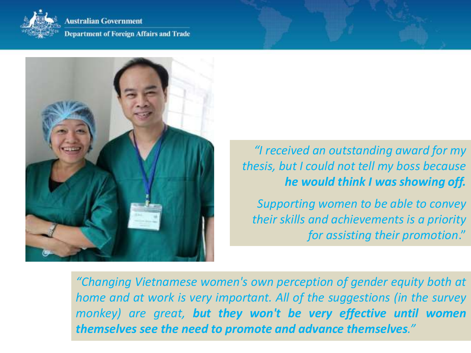

ustralian Government

**Department of Foreign Affairs and Trade** 



*"I received an outstanding award for my thesis, but I could not tell my boss because he would think I was showing off.* 

*Supporting women to be able to convey their skills and achievements is a priority for assisting their promotion*."

*"Changing Vietnamese women's own perception of gender equity both at home and at work is very important. All of the suggestions (in the survey monkey) are great, but they won't be very effective until women themselves see the need to promote and advance themselves."*